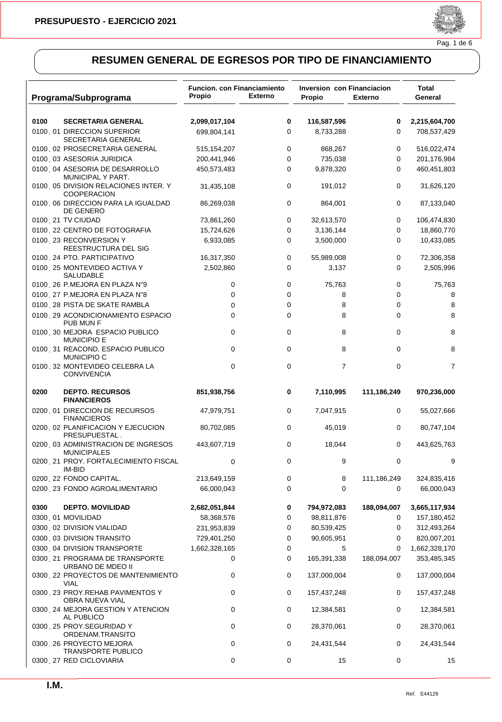

|      | Programa/Subprograma                                                                    | <b>Funcion, con Financiamiento</b><br>Propio | <b>Externo</b> | <b>Inversion con Financiacion</b><br><b>Propio</b> | <b>Externo</b>   | Total<br>General          |
|------|-----------------------------------------------------------------------------------------|----------------------------------------------|----------------|----------------------------------------------------|------------------|---------------------------|
| 0100 | <b>SECRETARIA GENERAL</b>                                                               | 2,099,017,104                                | 0              | 116,587,596                                        | 0                | 2,215,604,700             |
|      | 0100 01 DIRECCION SUPERIOR<br>SECRETARIA GENERAL                                        | 699,804,141                                  | 0              | 8,733,288                                          | 0                | 708,537,429               |
|      | 0100 02 PROSECRETARIA GENERAL                                                           | 515,154,207                                  | 0              | 868,267                                            | 0                | 516,022,474               |
|      | 0100 03 ASESORIA JURIDICA                                                               | 200,441,946                                  | $\mathbf 0$    | 735,038                                            | 0                | 201,176,984               |
|      | 0100 04 ASESORIA DE DESARROLLO<br>MUNICIPAL Y PART.                                     | 450,573,483                                  | $\mathbf 0$    | 9,878,320                                          | 0                | 460,451,803               |
|      | 0100 05 DIVISION RELACIONES INTER. Y<br><b>COOPERACION</b>                              | 31,435,108                                   | 0              | 191,012                                            | 0                | 31,626,120                |
|      | 0100 06 DIRECCION PARA LA IGUALDAD<br>DE GENERO                                         | 86,269,038                                   | 0              | 864,001                                            | 0                | 87,133,040                |
|      | 0100 21 TV CIUDAD                                                                       | 73,861,260                                   | 0              | 32,613,570                                         | 0                | 106,474,830               |
|      | 0100 22 CENTRO DE FOTOGRAFIA                                                            | 15,724,626                                   | 0              | 3,136,144                                          | 0                | 18,860,770                |
|      | 0100 23 RECONVERSION Y<br>REESTRUCTURA DEL SIG                                          | 6,933,085                                    | 0              | 3,500,000                                          | 0                | 10,433,085                |
|      | 0100 24 PTO. PARTICIPATIVO                                                              | 16,317,350                                   | 0              | 55,989,008                                         | 0                | 72,306,358                |
|      | 0100 25 MONTEVIDEO ACTIVA Y<br>SALUDABLE                                                | 2,502,860                                    | $\mathbf 0$    | 3,137                                              | 0                | 2,505,996                 |
|      | 0100 26 P.MEJORA EN PLAZA N"9                                                           | 0                                            | 0              | 75,763                                             | 0                | 75,763                    |
|      | 0100 27 P.MEJORA EN PLAZA N"8                                                           | 0                                            | 0              | 8                                                  | 0                | 8                         |
|      | 0100 28 PISTA DE SKATE RAMBLA                                                           | 0                                            | 0              | 8                                                  | 0                | 8                         |
|      | 0100 29 ACONDICIONAMIENTO ESPACIO<br>PUB MUN F                                          | 0                                            | 0              | 8                                                  | 0                | 8                         |
|      | 0100 30 MEJORA ESPACIO PUBLICO<br><b>MUNICIPIO E</b>                                    | 0                                            | 0<br>0         | 8<br>8                                             | 0                | 8                         |
|      | 0100 31 REACOND. ESPACIO PUBLICO<br><b>MUNICIPIO C</b><br>0100 32 MONTEVIDEO CELEBRA LA | 0<br>0                                       | $\mathbf 0$    | $\overline{7}$                                     | 0<br>0           | 8<br>7                    |
|      | <b>CONVIVENCIA</b>                                                                      |                                              |                |                                                    |                  |                           |
| 0200 | <b>DEPTO. RECURSOS</b><br><b>FINANCIEROS</b>                                            | 851,938,756                                  | 0              | 7,110,995                                          | 111,186,249      | 970,236,000               |
|      | 0200 01 DIRECCION DE RECURSOS<br><b>FINANCIEROS</b>                                     | 47,979,751                                   | 0              | 7,047,915                                          | 0                | 55,027,666                |
|      | 0200 02 PLANIFICACION Y EJECUCION<br>PRESUPUESTAL.                                      | 80,702,085                                   | $\mathbf 0$    | 45,019                                             | 0                | 80,747,104                |
|      | 0200 03 ADMINISTRACION DE INGRESOS<br><b>MUNICIPALES</b>                                | 443,607,719                                  | 0              | 18,044                                             | 0                | 443,625,763               |
|      | 0200 21 PROY. FORTALECIMIENTO FISCAL<br>IM-BID                                          | 0                                            | $\mathbf 0$    | 9                                                  | 0                | 9                         |
|      | 0200 22 FONDO CAPITAL.<br>0200 23 FONDO AGROALIMENTARIO                                 | 213,649,159<br>66,000,043                    | 0<br>0         | 8<br>0                                             | 111,186,249<br>0 | 324,835,416<br>66,000,043 |
| 0300 | <b>DEPTO. MOVILIDAD</b>                                                                 | 2,682,051,844                                | 0              | 794,972,083                                        | 188,094,007      | 3,665,117,934             |
|      | 0300, 01 MOVILIDAD                                                                      | 58,368,576                                   | 0              | 98,811,876                                         | 0                | 157,180,452               |
|      | 0300 02 DIVISION VIALIDAD                                                               | 231,953,839                                  | 0              | 80,539,425                                         | 0                | 312,493,264               |
|      | 0300 03 DIVISION TRANSITO                                                               | 729,401,250                                  | 0              | 90,605,951                                         | 0                | 820,007,201               |
|      | 0300 04 DIVISION TRANSPORTE                                                             | 1,662,328,165                                | 0              | 5                                                  | 0                | 1,662,328,170             |
|      | 0300 21 PROGRAMA DE TRANSPORTE<br>URBANO DE MDEO II                                     | 0                                            | 0              | 165,391,338                                        | 188,094,007      | 353,485,345               |
|      | 0300 22 PROYECTOS DE MANTENIMIENTO<br><b>VIAL</b>                                       | 0                                            | 0              | 137,000,004                                        | 0                | 137,000,004               |
|      | 0300 23 PROY.REHAB PAVIMENTOS Y<br>OBRA NUEVA VIAL                                      | 0                                            | 0              | 157,437,248                                        | 0                | 157,437,248               |
|      | 0300 24 MEJORA GESTION Y ATENCION<br>AL PUBLICO                                         | 0                                            | 0              | 12,384,581                                         | 0                | 12,384,581                |
|      | 0300 25 PROY.SEGURIDAD Y<br>ORDENAM.TRANSITO                                            | 0                                            | 0              | 28,370,061                                         | 0                | 28,370,061                |
|      | 0300 26 PROYECTO MEJORA<br><b>TRANSPORTE PUBLICO</b>                                    | 0                                            | 0              | 24,431,544                                         | 0                | 24,431,544                |
|      | 0300 27 RED CICLOVIARIA                                                                 | 0                                            | 0              | 15                                                 | 0                | 15                        |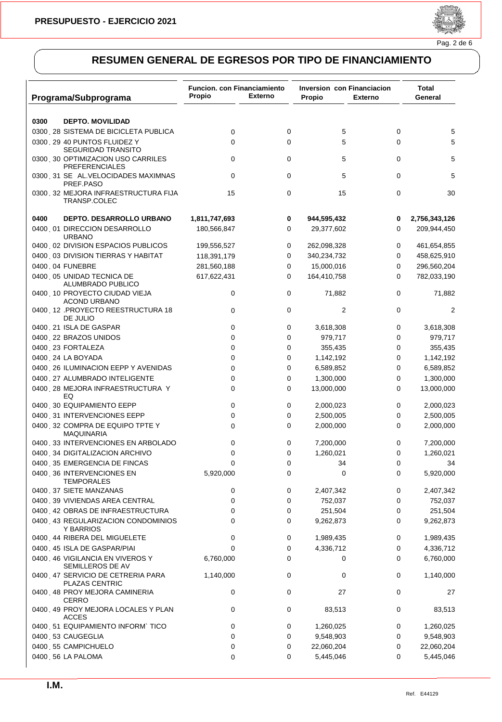

| Programa/Subprograma                                       | <b>Funcion. con Financiamiento</b><br>Propio | <b>Externo</b> | <b>Inversion con Financiacion</b><br>Propio | <b>Externo</b> | Total<br>General |
|------------------------------------------------------------|----------------------------------------------|----------------|---------------------------------------------|----------------|------------------|
| 0300<br><b>DEPTO. MOVILIDAD</b>                            |                                              |                |                                             |                |                  |
| 0300 28 SISTEMA DE BICICLETA PUBLICA                       | 0                                            | 0              | 5                                           | 0              | 5                |
| 0300 29 40 PUNTOS FLUIDEZ Y                                | 0                                            | $\mathbf 0$    | 5                                           | 0              | 5                |
| <b>SEGURIDAD TRANSITO</b>                                  |                                              |                |                                             |                |                  |
| 0300 30 OPTIMIZACION USO CARRILES<br><b>PREFERENCIALES</b> | 0                                            | 0              | 5                                           | 0              | 5                |
| 0300 31 SEÑAL.VELOCIDADES MAXIMNAS<br>PREF.PASO            | 0                                            | 0              | 5                                           | 0              | 5                |
| 0300 32 MEJORA INFRAESTRUCTURA FIJA<br>TRANSP.COLEC        | 15                                           | 0              | 15                                          | 0              | 30               |
| 0400<br>DEPTO. DESARROLLO URBANO                           | 1,811,747,693                                | 0              | 944,595,432                                 | 0              | 2,756,343,126    |
| 0400 01 DIRECCION DESARROLLO<br><b>URBANO</b>              | 180,566,847                                  | 0              | 29,377,602                                  | 0              | 209,944,450      |
| 0400 02 DIVISION ESPACIOS PUBLICOS                         | 199,556,527                                  | 0              | 262,098,328                                 | 0              | 461,654,855      |
| 0400 03 DIVISION TIERRAS Y HABITAT                         | 118,391,179                                  | 0              | 340,234,732                                 | 0              | 458,625,910      |
| 0400, 04 FUNEBRE                                           | 281,560,188                                  | 0              | 15,000,016                                  | 0              | 296,560,204      |
| 0400 05 UNIDAD TECNICA DE<br>ALUMBRADO PUBLICO             | 617,622,431                                  | 0              | 164,410,758                                 | 0              | 782,033,190      |
| 0400 10 PROYECTO CIUDAD VIEJA<br><b>ACOND URBANO</b>       | 0                                            | 0              | 71,882                                      | 0              | 71,882           |
| 0400 PROYECTO REESTRUCTURA 18<br>DE JULIO                  | 0                                            | 0              | $\overline{2}$                              | 0              | 2                |
| 0400 21 ISLA DE GASPAR                                     | 0                                            | 0              | 3,618,308                                   | 0              | 3,618,308        |
| 0400 22 BRAZOS UNIDOS                                      | 0                                            | 0              | 979,717                                     | 0              | 979,717          |
| 0400 23 FORTALEZA                                          | 0                                            | 0              | 355,435                                     | 0              | 355,435          |
| 0400 24 LA BOYADA                                          | 0                                            | 0              | 1,142,192                                   | 0              | 1,142,192        |
| 0400 26 ILUMINACION EEPP Y AVENIDAS                        | 0                                            | 0              | 6,589,852                                   | 0              | 6,589,852        |
| 0400 27 ALUMBRADO INTELIGENTE                              | 0                                            | 0              | 1,300,000                                   | 0              | 1,300,000        |
| 0400 28 MEJORA INFRAESTRUCTURA Y<br>EQ                     | 0                                            | 0              | 13,000,000                                  | 0              | 13,000,000       |
| 0400 30 EQUIPAMIENTO EEPP                                  | 0                                            | 0              | 2,000,023                                   | 0              | 2,000,023        |
| 0400 31 INTERVENCIONES EEPP                                | 0                                            | 0              | 2,500,005                                   | 0              | 2,500,005        |
| 0400 32 COMPRA DE EQUIPO TPTE Y<br><b>MAQUINARIA</b>       | 0                                            | 0              | 2,000,000                                   | 0              | 2,000,000        |
| 0400 33 INTERVENCIONES EN ARBOLADO                         | 0                                            | 0              | 7,200,000                                   | 0              | 7,200,000        |
| 0400 34 DIGITALIZACION ARCHIVO                             | 0                                            | 0              | 1,260,021                                   | 0              | 1,260,021        |
| 0400 35 EMERGENCIA DE FINCAS                               | $\Omega$                                     | 0              | 34                                          | 0              | 34               |
| 0400 36 INTERVENCIONES EN<br><b>TEMPORALES</b>             | 5,920,000                                    | 0              | 0                                           | 0              | 5,920,000        |
| 0400 37 SIETE MANZANAS                                     | 0                                            | 0              | 2,407,342                                   | 0              | 2,407,342        |
| 0400 39 VIVIENDAS AREA CENTRAL                             | 0                                            | 0              | 752,037                                     | 0              | 752,037          |
| 0400 42 OBRAS DE INFRAESTRUCTURA                           | 0                                            | 0              | 251,504                                     | 0              | 251,504          |
| 0400 43 REGULARIZACION CONDOMINIOS<br>Y BARRIOS            | 0                                            | 0              | 9,262,873                                   | 0              | 9,262,873        |
| 0400 44 RIBERA DEL MIGUELETE                               | 0                                            | 0              | 1,989,435                                   | 0              | 1,989,435        |
| 0400 45 ISLA DE GASPAR/PIAI                                | 0                                            | 0              | 4,336,712                                   | 0              | 4,336,712        |
| 0400 46 VIGILANCIA EN VIVEROS Y<br>SEMILLEROS DE AV        | 6,760,000                                    | 0              | 0                                           | 0              | 6,760,000        |
| 0400 47 SERVICIO DE CETRERIA PARA<br>PLAZAS CENTRIC        | 1,140,000                                    | 0              | 0                                           | 0              | 1,140,000        |
| 0400 48 PROY MEJORA CAMINERIA<br>CERRO                     | 0                                            | 0              | 27                                          | 0              | 27               |
| 0400 49 PROY MEJORA LOCALES Y PLAN<br><b>ACCES</b>         | 0                                            | 0              | 83,513                                      | 0              | 83,513           |
| 0400 51 EQUIPAMIENTO INFORM`TICO                           | 0                                            | 0              | 1,260,025                                   | 0              | 1,260,025        |
| 0400 53 CAUGEGLIA                                          | 0                                            | 0              | 9,548,903                                   | 0              | 9,548,903        |
| 0400 55 CAMPICHUELO                                        | 0                                            | 0              | 22,060,204                                  | 0              | 22,060,204       |
| 0400, 56 LA PALOMA                                         | 0                                            | 0              | 5,445,046                                   | 0              | 5,445,046        |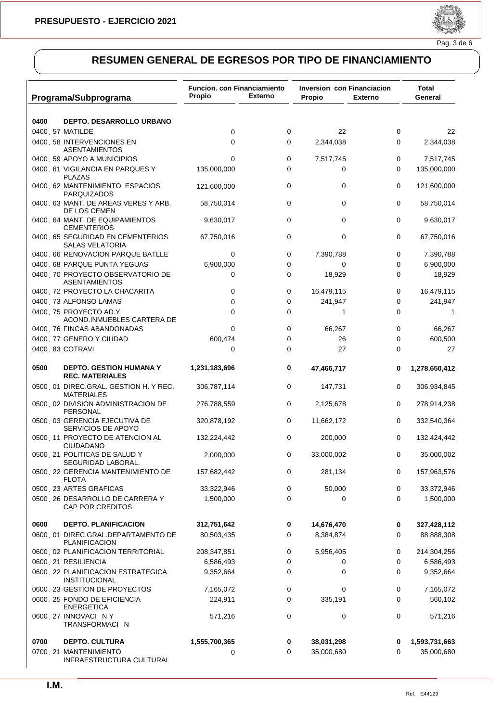

| Programa/Subprograma                                       | Funcion. con Financiamiento<br>Propio | <b>Externo</b> | Inversion con Financiacion<br>Propio | <b>Externo</b> | Total<br>General |
|------------------------------------------------------------|---------------------------------------|----------------|--------------------------------------|----------------|------------------|
| 0400<br>DEPTO. DESARROLLO URBANO                           |                                       |                |                                      |                |                  |
| 0400 57 MATILDE                                            | 0                                     | 0              | 22                                   | 0              | 22               |
| 0400 58 INTERVENCIONES EN<br>ASENTAMIENTOS                 | 0                                     | 0              | 2,344,038                            | 0              | 2,344,038        |
| 0400 59 APOYO A MUNICIPIOS                                 | 0                                     | 0              | 7,517,745                            | 0              | 7,517,745        |
| 0400 61 VIGILANCIA EN PARQUES Y<br><b>PLAZAS</b>           | 135,000,000                           | 0              | 0                                    | 0              | 135,000,000      |
| 0400 62 MANTENIMIENTO ESPACIOS<br><b>PARQUIZADOS</b>       | 121,600,000                           | 0              | 0                                    | 0              | 121,600,000      |
| 0400 63 MANT. DE AREAS VERES Y ARB.<br>DE LOS CEMEN        | 58,750,014                            | 0              | 0                                    | 0              | 58,750,014       |
| 0400 64 MANT. DE EQUIPAMIENTOS<br><b>CEMENTERIOS</b>       | 9,630,017                             | 0              | 0                                    | 0              | 9,630,017        |
| 0400 65 SEGURIDAD EN CEMENTERIOS<br><b>SALAS VELATORIA</b> | 67,750,016                            | 0              | 0                                    | 0              | 67,750,016       |
| 0400 66 RENOVACION PARQUE BATLLE                           | $\mathbf 0$                           | 0              | 7,390,788                            | 0              | 7,390,788        |
| 0400 68 PARQUE PUNTA YEGUAS                                | 6,900,000                             | 0              | 0                                    | 0              | 6,900,000        |
| 0400 70 PROYECTO OBSERVATORIO DE<br><b>ASENTAMIENTOS</b>   | 0                                     | 0              | 18,929                               | 0              | 18,929           |
| 0400 72 PROYECTO LA CHACARITA                              | 0                                     | 0              | 16,479,115                           | 0              | 16,479,115       |
| 0400 73 ALFONSO LAMAS                                      | 0                                     | 0              | 241,947                              | 0              | 241,947          |
| 0400 75 PROYECTO AD.Y<br>ACOND. INMUEBLES CARTERA DE       | 0                                     | 0              | 1                                    | 0              | 1                |
| 0400 76 FINCAS ABANDONADAS                                 | $\Omega$                              | 0              | 66,267                               | 0              | 66,267           |
| 0400 77 GENERO Y CIUDAD                                    | 600,474                               | 0              | 26                                   | 0              | 600,500          |
| 0400 83 COTRAVI                                            | 0                                     | 0              | 27                                   | 0              | 27               |
| 0500<br>DEPTO. GESTION HUMANA Y<br><b>REC. MATERIALES</b>  | 1,231,183,696                         | 0              | 47,466,717                           | 0              | 1,278,650,412    |
| 0500 01 DIREC.GRAL. GESTION H. Y REC.<br><b>MATERIALES</b> | 306,787,114                           | 0              | 147,731                              | 0              | 306,934,845      |
| 0500 02 DIVISION ADMINISTRACION DE<br>PERSONAL             | 276,788,559                           | 0              | 2,125,678                            | 0              | 278,914,238      |
| 0500 03 GERENCIA EJECUTIVA DE<br>SERVICIOS DE APOYO        | 320,878,192                           | 0              | 11,662,172                           | 0              | 332,540,364      |
| 0500 11 PROYECTO DE ATENCION AL<br>CIUDADANO               | 132,224,442                           | 0              | 200,000                              | 0              | 132,424,442      |
| 0500 21 POLITICAS DE SALUD Y<br>SEGURIDAD LABORAL.         | 2,000,000                             | 0              | 33,000,002                           | 0              | 35,000,002       |
| 0500 22 GERENCIA MANTENIMIENTO DE<br><b>FLOTA</b>          | 157,682,442                           | 0              | 281,134                              | 0              | 157,963,576      |
| 0500 23 ARTES GRAFICAS                                     | 33,322,946                            | 0              | 50,000                               | 0              | 33,372,946       |
| 0500 26 DESARROLLO DE CARRERA Y<br>CAP POR CREDITOS        | 1,500,000                             | 0              | 0                                    | 0              | 1,500,000        |
| 0600<br><b>DEPTO. PLANIFICACION</b>                        | 312,751,642                           | 0              | 14,676,470                           | 0              | 327,428,112      |
| 0600 01 DIREC.GRAL.DEPARTAMENTO DE<br><b>PLANIFICACION</b> | 80,503,435                            | 0              | 8,384,874                            | 0              | 88,888,308       |
| 0600 02 PLANIFICACION TERRITORIAL                          | 208,347,851                           | 0              | 5,956,405                            | 0              | 214,304,256      |
| 0600 21 RESILIENCIA                                        | 6,586,493                             | 0              | 0                                    | 0              | 6,586,493        |
| 0600 22 PLANIFICACION ESTRATEGICA<br><b>INSTITUCIONAL</b>  | 9,352,664                             | 0              | 0                                    | 0              | 9,352,664        |
| 0600 23 GESTION DE PROYECTOS                               | 7,165,072                             | 0              | 0                                    | 0              | 7,165,072        |
| 0600 25 FONDO DE EFICIENCIA<br><b>ENERGETICA</b>           | 224,911                               | 0              | 335,191                              | 0              | 560,102          |
| 0600 27 INNOVACIÓN Y<br>TRANSFORMACIÓN                     | 571,216                               | 0              | 0                                    | 0              | 571,216          |
| <b>DEPTO. CULTURA</b><br>0700                              | 1,555,700,365                         | 0              | 38,031,298                           | 0              | 1,593,731,663    |
| 0700 21 MANTENIMIENTO<br>INFRAESTRUCTURA CULTURAL          | 0                                     | 0              | 35,000,680                           | 0              | 35,000,680       |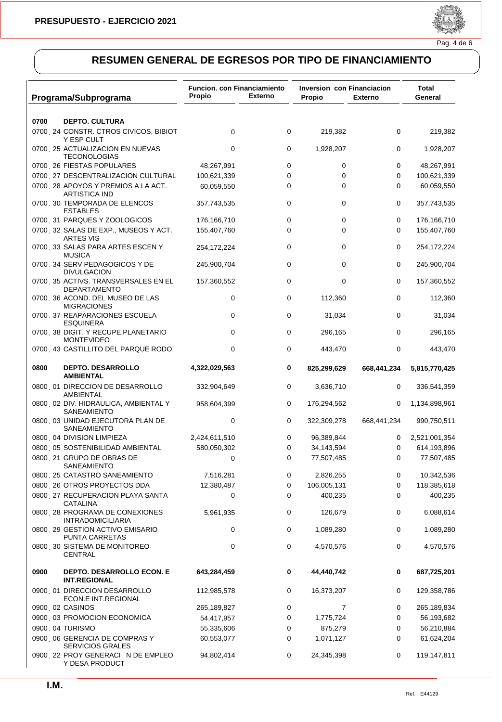

| Programa/Subprograma                                       | <b>Funcion. con Financiamiento</b><br>Propio | <b>Externo</b> | Inversion con Financiacion<br>Propio | <b>Externo</b> | Total<br>General |
|------------------------------------------------------------|----------------------------------------------|----------------|--------------------------------------|----------------|------------------|
|                                                            |                                              |                |                                      |                |                  |
| 0700<br><b>DEPTO. CULTURA</b>                              |                                              |                |                                      |                |                  |
| 0700 24 CONSTR. CTROS CIVICOS, BIBIOT<br>Y ESP CULT        | 0                                            | 0              | 219,382                              | 0              | 219,382          |
| 0700 25 ACTUALIZACION EN NUEVAS<br><b>TECONOLOGIAS</b>     | $\mathbf 0$                                  | 0              | 1,928,207                            | 0              | 1,928,207        |
| 0700 26 FIESTAS POPULARES                                  | 48,267,991                                   | 0              | 0                                    | 0              | 48,267,991       |
| 0700 27 DESCENTRALIZACION CULTURAL                         | 100,621,339                                  | 0              | 0                                    | 0              | 100,621,339      |
| 0700 28 APOYOS Y PREMIOS A LA ACT.<br><b>ARTISTICA IND</b> | 60,059,550                                   | 0              | 0                                    | 0              | 60,059,550       |
| 0700 30 TEMPORADA DE ELENCOS<br><b>ESTABLES</b>            | 357,743,535                                  | 0              | 0                                    | 0              | 357,743,535      |
| 0700 31 PARQUES Y ZOOLOGICOS                               | 176,166,710                                  | 0              | 0                                    | 0              | 176,166,710      |
| 0700 32 SALAS DE EXP., MUSEOS Y ACT.<br><b>ARTES VIS</b>   | 155,407,760                                  | 0              | 0                                    | 0              | 155,407,760      |
| 0700 33 SALAS PARA ARTES ESCEN Y<br><b>MUSICA</b>          | 254,172,224                                  | 0              | 0                                    | 0              | 254,172,224      |
| 0700 34 SERV PEDAGOGICOS Y DE<br><b>DIVULGACION</b>        | 245,900,704                                  | 0              | 0                                    | 0              | 245,900,704      |
| 0700 35 ACTIVS. TRANSVERSALES EN EL<br><b>DEPARTAMENTO</b> | 157,360,552                                  | 0              | 0                                    | 0              | 157,360,552      |
| 0700 36 ACOND. DEL MUSEO DE LAS<br><b>MIGRACIONES</b>      | 0                                            | 0              | 112,360                              | 0              | 112,360          |
| 0700 37 REAPARACIONES ESCUELA<br><b>ESQUINERA</b>          | $\mathbf 0$                                  | 0              | 31,034                               | 0              | 31,034           |
| 0700 38 DIGIT. Y RECUPE.PLANETARIO<br><b>MONTEVIDEO</b>    | 0                                            | 0              | 296,165                              | 0              | 296,165          |
| 0700 43 CASTILLITO DEL PARQUE RODO                         | $\mathbf 0$                                  | 0              | 443,470                              | 0              | 443,470          |
| 0800<br><b>DEPTO. DESARROLLO</b><br><b>AMBIENTAL</b>       | 4,322,029,563                                | 0              | 825,299,629                          | 668,441,234    | 5,815,770,425    |
| 0800 01 DIRECCION DE DESARROLLO<br>AMBIENTAL               | 332,904,649                                  | 0              | 3,636,710                            | 0              | 336,541,359      |
| 0800 02 DIV. HIDRAULICA, AMBIENTAL Y<br>SANEAMIENTO        | 958,604,399                                  | 0              | 176,294,562                          | 0              | 1,134,898,961    |
| 0800 03 UNIDAD EJECUTORA PLAN DE<br>SANEAMIENTO            | 0                                            | 0              | 322,309,278                          | 668,441,234    | 990,750,511      |
| 0800 04 DIVISION LIMPIEZA                                  | 2,424,611,510                                | 0              | 96,389,844                           | 0              | 2,521,001,354    |
| 0800 05 SOSTENIBILIDAD AMBIENTAL                           | 580,050,302                                  | 0              | 34,143,594                           | 0              | 614,193,896      |
| 0800 21 GRUPO DE OBRAS DE<br>SANEAMIENTO                   | $\mathbf 0$                                  | 0              | 77,507,485                           | 0              | 77,507,485       |
| 0800 25 CATASTRO SANEAMIENTO                               | 7,516,281                                    | 0              | 2,826,255                            | 0              | 10,342,536       |
| 0800 26 OTROS PROYECTOS DDA                                | 12,380,487                                   | 0              | 106,005,131                          | 0              | 118,385,618      |
| 0800 27 RECUPERACION PLAYA SANTA<br><b>CATALINA</b>        | 0                                            | 0              | 400,235                              | 0              | 400,235          |
| 0800 28 PROGRAMA DE CONEXIONES<br><b>INTRADOMICILIARIA</b> | 5,961,935                                    | 0              | 126,679                              | 0              | 6,088,614        |
| 0800 29 GESTION ACTIVO EMISARIO<br>PUNTA CARRETAS          | 0                                            | 0              | 1,089,280                            | 0              | 1,089,280        |
| 0800 30 SISTEMA DE MONITOREO<br><b>CENTRAL</b>             | 0                                            | 0              | 4,570,576                            | 0              | 4,570,576        |
| DEPTO. DESARROLLO ECON. E<br>0900<br><b>INT.REGIONAL</b>   | 643,284,459                                  | 0              | 44,440,742                           | 0              | 687,725,201      |
| 0900 01 DIRECCION DESARROLLO<br>ECON.E INT.REGIONAL        | 112,985,578                                  | 0              | 16,373,207                           | 0              | 129,358,786      |
| 0900 02 CASINOS                                            | 265,189,827                                  | 0              | 7                                    | 0              | 265,189,834      |
| 0900 03 PROMOCION ECONOMICA                                | 54,417,957                                   | 0              | 1,775,724                            | 0              | 56,193,682       |
| 0900, 04 TURISMO                                           | 55,335,606                                   | 0              | 875,279                              | 0              | 56,210,884       |
| 0900 06 GERENCIA DE COMPRAS Y<br><b>SERVICIOS GRALES</b>   | 60,553,077                                   | 0              | 1,071,127                            | 0              | 61,624,204       |
| 0900 22 PROY GENERACIÓN DE EMPLEO<br>Y DESA PRODUCT        | 94,802,414                                   | 0              | 24,345,398                           | 0              | 119,147,811      |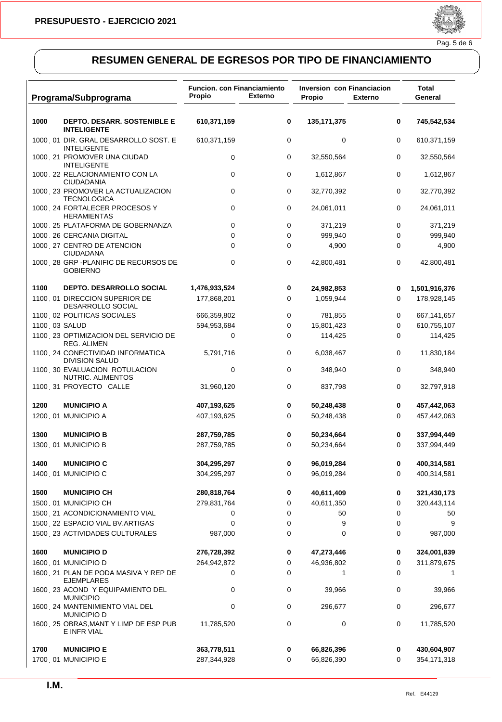

|      | Programa/Subprograma                                       | <b>Funcion. con Financiamiento</b><br>Propio | <b>Externo</b> | Inversion con Financiacion<br>Propio | <b>Externo</b> | Total<br>General |
|------|------------------------------------------------------------|----------------------------------------------|----------------|--------------------------------------|----------------|------------------|
| 1000 | DEPTO. DESARR. SOSTENIBLE E<br><b>INTELIGENTE</b>          | 610,371,159                                  | 0              | 135, 171, 375                        | 0              | 745,542,534      |
|      | 1000 01 DIR. GRAL DESARROLLO SOST. E<br><b>INTELIGENTE</b> | 610,371,159                                  | 0              | 0                                    | 0              | 610,371,159      |
|      | 1000 21 PROMOVER UNA CIUDAD<br><b>INTELIGENTE</b>          | 0                                            | 0              | 32,550,564                           | 0              | 32,550,564       |
|      | 1000 22 RELACIONAMIENTO CON LA<br><b>CIUDADANIA</b>        | 0                                            | 0              | 1,612,867                            | 0              | 1,612,867        |
|      | 1000 23 PROMOVER LA ACTUALIZACION<br><b>TECNOLOGICA</b>    | 0                                            | 0              | 32,770,392                           | 0              | 32,770,392       |
|      | 1000 24 FORTALECER PROCESOS Y<br><b>HERAMIENTAS</b>        | 0                                            | 0              | 24,061,011                           | 0              | 24,061,011       |
|      | 1000 25 PLATAFORMA DE GOBERNANZA                           | 0                                            | 0              | 371,219                              | 0              | 371,219          |
|      | 1000, 26 CERCANIA DIGITAL                                  | 0                                            | 0              | 999,940                              | 0              | 999,940          |
|      | 1000 27 CENTRO DE ATENCION<br><b>CIUDADANA</b>             | 0                                            | 0              | 4,900                                | 0              | 4,900            |
|      | 1000 28 GRP - PLANIFIC DE RECURSOS DE<br><b>GOBIERNO</b>   | $\mathbf 0$                                  | 0              | 42,800,481                           | 0              | 42,800,481       |
| 1100 | <b>DEPTO. DESARROLLO SOCIAL</b>                            | 1,476,933,524                                | 0              | 24,982,853                           | 0              | 1,501,916,376    |
|      | 1100 01 DIRECCION SUPERIOR DE<br>DESARROLLO SOCIAL         | 177,868,201                                  | 0              | 1,059,944                            | 0              | 178,928,145      |
|      | 1100 02 POLITICAS SOCIALES                                 | 666,359,802                                  | 0              | 781,855                              | 0              | 667,141,657      |
|      | 1100 03 SALUD                                              | 594,953,684                                  | 0              | 15,801,423                           | 0              | 610,755,107      |
|      | 1100 23 OPTIMIZACION DEL SERVICIO DE<br>REG. ALIMEN        | 0                                            | 0              | 114,425                              | 0              | 114,425          |
|      | 1100 24 CONECTIVIDAD INFORMATICA<br><b>DIVISION SALUD</b>  | 5,791,716                                    | 0              | 6,038,467                            | 0              | 11,830,184       |
|      | 1100, 30 EVALUACION ROTULACION<br>NUTRIC. ALIMENTOS        | 0                                            | 0              | 348,940                              | 0              | 348,940          |
|      | 1100 31 PROYECTO CALLE                                     | 31,960,120                                   | 0              | 837,798                              | 0              | 32,797,918       |
| 1200 | <b>MUNICIPIO A</b>                                         | 407,193,625                                  | 0              | 50,248,438                           | 0              | 457,442,063      |
|      | 1200 01 MUNICIPIO A                                        | 407,193,625                                  | 0              | 50,248,438                           | 0              | 457,442,063      |
| 1300 | <b>MUNICIPIO B</b>                                         | 287,759,785                                  | 0              | 50,234,664                           | 0              | 337,994,449      |
|      | 1300 01 MUNICIPIO B                                        | 287,759,785                                  | 0              | 50,234,664                           | 0              | 337,994,449      |
| 1400 | <b>MUNICIPIO C</b>                                         | 304,295,297                                  | 0              | 96,019,284                           | 0              | 400,314,581      |
|      | 1400 01 MUNICIPIO C                                        | 304,295,297                                  | 0              | 96,019,284                           | 0              | 400,314,581      |
| 1500 | <b>MUNICIPIO CH</b>                                        | 280,818,764                                  | 0              | 40,611,409                           | 0              | 321,430,173      |
|      | 1500 01 MUNICIPIO CH                                       | 279,831,764                                  | 0              | 40,611,350                           | 0              | 320,443,114      |
|      | 1500 21 ACONDICIONAMIENTO VIAL                             | 0                                            | 0              | 50                                   | 0              | 50               |
|      | 1500 22 ESPACIO VIAL BV.ARTIGAS                            | $\mathbf 0$                                  | 0              | 9                                    | 0              | 9                |
|      | 1500 23 ACTIVIDADES CULTURALES                             | 987,000                                      | 0              | 0                                    | 0              | 987,000          |
| 1600 | <b>MUNICIPIO D</b>                                         | 276,728,392                                  | 0              | 47,273,446                           | 0              | 324,001,839      |
|      | 1600 01 MUNICIPIO D                                        | 264,942,872                                  | 0              | 46,936,802                           | 0              | 311,879,675      |
|      | 1600 21 PLAN DE PODA MASIVA Y REP DE<br><b>EJEMPLARES</b>  | 0                                            | 0              | 1                                    | 0              | 1                |
|      | 1600 23 ACOND Y EQUIPAMIENTO DEL<br><b>MUNICIPIO</b>       | 0                                            | 0              | 39,966                               | 0              | 39,966           |
|      | 1600 24 MANTENIMIENTO VIAL DEL<br><b>MUNICIPIO D</b>       | 0                                            | 0              | 296,677                              | 0              | 296,677          |
|      | 1600 25 OBRAS, MANT Y LIMP DE ESP PUB<br>E INFR VIAL       | 11,785,520                                   | 0              | 0                                    | 0              | 11,785,520       |
| 1700 | <b>MUNICIPIO E</b>                                         | 363,778,511                                  | 0              | 66,826,396                           | 0              | 430,604,907      |
|      | 1700 01 MUNICIPIO E                                        | 287,344,928                                  | 0              | 66,826,390                           | 0              | 354,171,318      |